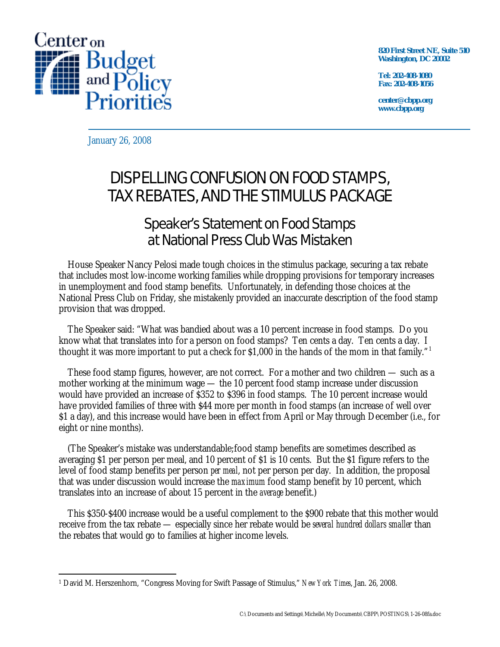

**820 First Street NE, Suite 510 Washington, DC 20002** 

**Tel: 202-408-1080 Fax: 202-408-1056** 

**center@cbpp.org www.cbpp.org** 

January 26, 2008

## DISPELLING CONFUSION ON FOOD STAMPS, TAX REBATES, AND THE STIMULUS PACKAGE

## Speaker's Statement on Food Stamps at National Press Club Was Mistaken

House Speaker Nancy Pelosi made tough choices in the stimulus package, securing a tax rebate that includes most low-income working families while dropping provisions for temporary increases in unemployment and food stamp benefits. Unfortunately, in defending those choices at the National Press Club on Friday, she mistakenly provided an inaccurate description of the food stamp provision that was dropped.

The Speaker said: "What was bandied about was a 10 percent increase in food stamps. Do you know what that translates into for a person on food stamps? Ten cents a day. Ten cents a day. I thought it was more important to put a check for \$1,000 in the hands of the mom in that family." 1

These food stamp figures, however, are not correct. For a mother and two children — such as a mother working at the minimum wage — the 10 percent food stamp increase under discussion would have provided an increase of \$352 to \$396 in food stamps. The 10 percent increase would have provided families of three with \$44 more per month in food stamps (an increase of well over \$1 a day), and this increase would have been in effect from April or May through December (i.e., for eight or nine months).

(The Speaker's mistake was understandable;food stamp benefits are sometimes described as averaging \$1 per person per meal, and 10 percent of \$1 is 10 cents. But the \$1 figure refers to the level of food stamp benefits per person *per meal*, not per person per day. In addition, the proposal that was under discussion would increase the *maximum* food stamp benefit by 10 percent, which translates into an increase of about 15 percent in the *average* benefit.)

This \$350-\$400 increase would be a useful complement to the \$900 rebate that this mother would receive from the tax rebate — especially since her rebate would be *several hundred dollars smaller* than the rebates that would go to families at higher income levels.

 $\overline{a}$ 1 David M. Herszenhorn, "Congress Moving for Swift Passage of Stimulus," *New York Times*, Jan. 26, 2008.